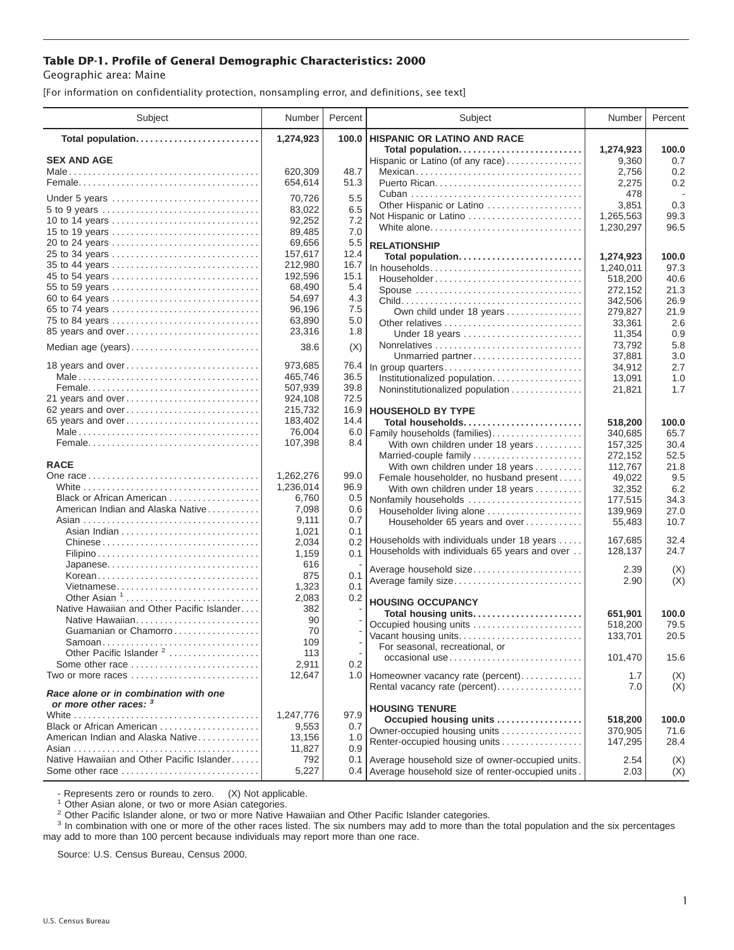## **Table DP-1. Profile of General Demographic Characteristics: 2000**

Geographic area: Maine

[For information on confidentiality protection, nonsampling error, and definitions, see text]

| Subject                                                                | Number           | Percent    | Subject                                                                         | Number         | Percent      |
|------------------------------------------------------------------------|------------------|------------|---------------------------------------------------------------------------------|----------------|--------------|
| Total population                                                       | 1,274,923        | 100.0      | <b>HISPANIC OR LATINO AND RACE</b>                                              |                |              |
| <b>SEX AND AGE</b>                                                     |                  |            | Total population                                                                | 1,274,923      | 100.0<br>0.7 |
|                                                                        | 620,309          | 48.7       | Hispanic or Latino (of any race)<br>Mexican                                     | 9,360<br>2,756 | 0.2          |
|                                                                        | 654,614          | 51.3       |                                                                                 | 2,275          | 0.2          |
|                                                                        |                  |            |                                                                                 | 478            |              |
| Under 5 years                                                          | 70,726           | 5.5        | Other Hispanic or Latino                                                        | 3,851          | 0.3          |
| 5 to 9 years                                                           | 83,022           | 6.5        | Not Hispanic or Latino                                                          | 1,265,563      | 99.3         |
| 10 to 14 years                                                         | 92,252           | 7.2        | White alone                                                                     | 1,230,297      | 96.5         |
| 15 to 19 years                                                         | 89,485           | 7.0        |                                                                                 |                |              |
|                                                                        | 69,656           | 5.5        | <b>RELATIONSHIP</b>                                                             |                |              |
| 25 to 34 years                                                         | 157,617          | 12.4       | Total population                                                                | 1,274,923      | 100.0        |
|                                                                        | 212,980          | 16.7       | In households                                                                   | 1,240,011      | 97.3         |
| 45 to 54 years                                                         | 192,596          | 15.1       | $Householder \dots \dots \dots \dots \dots \dots \dots \dots \dots \dots \dots$ | 518,200        | 40.6         |
| 55 to 59 years                                                         | 68,490<br>54,697 | 5.4<br>4.3 | Spouse                                                                          | 272,152        | 21.3         |
| 60 to 64 years<br>65 to 74 years                                       | 96,196           | 7.5        |                                                                                 | 342,506        | 26.9         |
| 75 to 84 years                                                         | 63,890           | 5.0        | Own child under 18 years                                                        | 279,827        | 21.9         |
| 85 years and over                                                      | 23,316           | 1.8        | Other relatives                                                                 | 33,361         | 2.6          |
|                                                                        |                  |            | Under 18 years                                                                  | 11,354         | 0.9          |
| Median age (years)                                                     | 38.6             | (X)        |                                                                                 | 73,792         | 5.8          |
| 18 years and over                                                      | 973,685          | 76.4       | Unmarried partner                                                               | 37,881         | 3.0<br>2.7   |
|                                                                        | 465,746          | 36.5       | In group quarters                                                               | 34,912         | 1.0          |
|                                                                        | 507,939          | 39.8       | Institutionalized population<br>Noninstitutionalized population                 | 13,091         | 1.7          |
| 21 years and over                                                      | 924,108          | 72.5       |                                                                                 | 21,821         |              |
| 62 years and over                                                      | 215,732          | 16.9       | <b>HOUSEHOLD BY TYPE</b>                                                        |                |              |
| 65 years and over                                                      | 183,402          | 14.4       | Total households                                                                | 518,200        | 100.0        |
|                                                                        | 76,004           | 6.0        | Family households (families)                                                    | 340,685        | 65.7         |
|                                                                        | 107,398          | 8.4        | With own children under 18 years                                                | 157,325        | 30.4         |
|                                                                        |                  |            | Married-couple family                                                           | 272,152        | 52.5         |
| <b>RACE</b>                                                            |                  |            | With own children under 18 years                                                | 112,767        | 21.8         |
|                                                                        | 1,262,276        | 99.0       | Female householder, no husband present                                          | 49,022         | 9.5          |
|                                                                        | 1,236,014        | 96.9       | With own children under 18 years                                                | 32,352         | 6.2          |
| Black or African American                                              | 6,760            | 0.5        | Nonfamily households                                                            | 177,515        | 34.3         |
| American Indian and Alaska Native                                      | 7,098            | 0.6        | Householder living alone                                                        | 139,969        | 27.0         |
|                                                                        | 9,111            | 0.7        | Householder 65 years and over                                                   | 55,483         | 10.7         |
|                                                                        | 1,021            | 0.1        |                                                                                 |                |              |
| Chinese                                                                | 2,034            | 0.2        | Households with individuals under 18 years                                      | 167,685        | 32.4         |
|                                                                        | 1,159            | 0.1        | Households with individuals 65 years and over                                   | 128,137        | 24.7         |
| Japanese                                                               | 616              |            | Average household size                                                          | 2.39           | (X)          |
| Korean                                                                 | 875              | 0.1        | Average family size                                                             | 2.90           | (X)          |
| Vietnamese                                                             | 1,323            | 0.1        |                                                                                 |                |              |
| Other Asian <sup>1</sup><br>Native Hawaiian and Other Pacific Islander | 2,083            | 0.2        | <b>HOUSING OCCUPANCY</b>                                                        |                |              |
|                                                                        | 382<br>90        |            | Total housing units                                                             | 651,901        | 100.0        |
| Native Hawaiian<br>Guamanian or Chamorro                               | 70               |            | Occupied housing units                                                          | 518,200        | 79.5         |
|                                                                        | 109              |            | Vacant housing units                                                            | 133,701        | 20.5         |
| Other Pacific Islander <sup>2</sup>                                    | 113              |            | For seasonal, recreational, or                                                  |                |              |
| Some other race $\ldots, \ldots, \ldots, \ldots, \ldots, \ldots$       | 2,911            | 0.2        | occasional use                                                                  | 101,470        | 15.6         |
| Two or more races                                                      | 12,647           |            | 1.0 Homeowner vacancy rate (percent)                                            | 1.7            | (X)          |
|                                                                        |                  |            | Rental vacancy rate (percent)                                                   | 7.0            | (X)          |
| Race alone or in combination with one<br>or more other races: 3        |                  |            |                                                                                 |                |              |
|                                                                        | 1,247,776        | 97.9       | <b>HOUSING TENURE</b>                                                           |                |              |
| Black or African American                                              | 9,553            | 0.7        | Occupied housing units                                                          | 518,200        | 100.0        |
| American Indian and Alaska Native                                      | 13,156           | 1.0        | Owner-occupied housing units<br>Renter-occupied housing units                   | 370,905        | 71.6         |
|                                                                        | 11,827           | 0.9        |                                                                                 | 147,295        | 28.4         |
| Native Hawaiian and Other Pacific Islander                             | 792              | 0.1        | Average household size of owner-occupied units.                                 | 2.54           | (X)          |
| Some other race                                                        | 5,227            | 0.4        | Average household size of renter-occupied units.                                | 2.03           | (X)          |

- Represents zero or rounds to zero. (X) Not applicable.<br><sup>1</sup> Other Asian alone, or two or more Asian categories.

<sup>2</sup> Other Pacific Islander alone, or two or more Native Hawaiian and Other Pacific Islander categories.<br><sup>3</sup> In combination with one or more of the other races listed. The six numbers may add to more than the total populati may add to more than 100 percent because individuals may report more than one race.

Source: U.S. Census Bureau, Census 2000.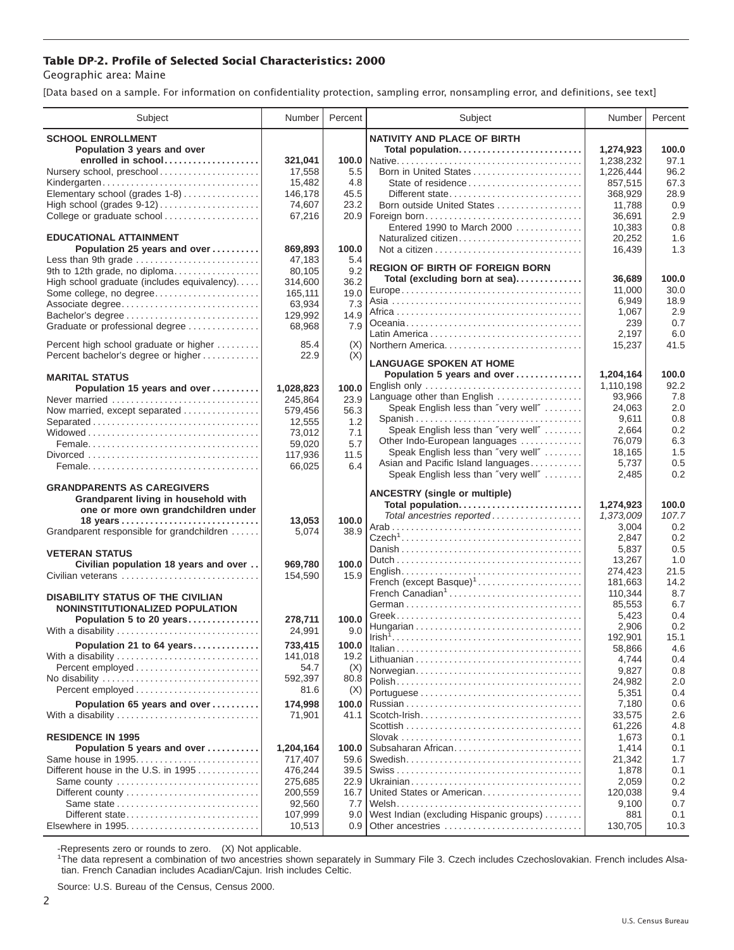## **Table DP-2. Profile of Selected Social Characteristics: 2000**

Geographic area: Maine

[Data based on a sample. For information on confidentiality protection, sampling error, nonsampling error, and definitions, see text]

| Subject                                       | Number            | Percent     | Subject                                                                                 | Number              | Percent     |
|-----------------------------------------------|-------------------|-------------|-----------------------------------------------------------------------------------------|---------------------|-------------|
| <b>SCHOOL ENROLLMENT</b>                      |                   |             | <b>NATIVITY AND PLACE OF BIRTH</b>                                                      |                     |             |
| Population 3 years and over                   |                   |             | Total population                                                                        | 1,274,923           | 100.0       |
| enrolled in school                            | 321,041           | 100.0       |                                                                                         | 1,238,232           | 97.1        |
| Nursery school, preschool                     | 17.558            | 5.5         | Born in United States                                                                   | 1,226,444           | 96.2        |
| Kindergarten                                  | 15.482            | 4.8         | State of residence                                                                      | 857,515             | 67.3        |
| Elementary school (grades 1-8)                | 146,178           | 45.5        | Different state                                                                         | 368.929             | 28.9        |
|                                               | 74,607            | 23.2        | Born outside United States                                                              | 11,788              | 0.9         |
| College or graduate school                    | 67,216            |             | 20.9   Foreign born                                                                     | 36,691              | 2.9         |
|                                               |                   |             | Entered 1990 to March 2000                                                              | 10.383              | 0.8         |
| <b>EDUCATIONAL ATTAINMENT</b>                 |                   |             | Naturalized citizen                                                                     | 20,252              | 1.6         |
| Population 25 years and over                  | 869.893           | 100.0       | Not a citizen $\ldots, \ldots, \ldots, \ldots, \ldots, \ldots, \ldots, \ldots$          | 16.439              | 1.3         |
| Less than 9th grade                           | 47,183            | 5.4         | <b>REGION OF BIRTH OF FOREIGN BORN</b>                                                  |                     |             |
| 9th to 12th grade, no diploma                 | 80,105            | 9.2         | Total (excluding born at sea)                                                           | 36,689              | 100.0       |
| High school graduate (includes equivalency)   | 314,600           | 36.2        |                                                                                         | 11,000              | 30.0        |
| Some college, no degree                       | 165,111           | 19.0<br>7.3 |                                                                                         | 6,949               | 18.9        |
| Associate degree<br>Bachelor's degree         | 63,934<br>129,992 | 14.9        |                                                                                         | 1,067               | 2.9         |
| Graduate or professional degree               | 68,968            | 7.9         |                                                                                         | 239                 | 0.7         |
|                                               |                   |             |                                                                                         | 2,197               | 6.0         |
| Percent high school graduate or higher        | 85.4              | (X)         |                                                                                         | 15,237              | 41.5        |
| Percent bachelor's degree or higher           | 22.9              | (X)         |                                                                                         |                     |             |
|                                               |                   |             | <b>LANGUAGE SPOKEN AT HOME</b>                                                          |                     |             |
| <b>MARITAL STATUS</b>                         |                   |             | Population 5 years and over                                                             | 1,204,164           | 100.0       |
| Population 15 years and over                  | 1,028,823         | 100.0       | English only<br>Language other than English                                             | 1,110,198<br>93,966 | 92.2<br>7.8 |
| Never married                                 | 245,864           | 23.9        | Speak English less than "very well"                                                     | 24,063              | 2.0         |
| Now married, except separated                 | 579,456           | 56.3        | Spanish                                                                                 | 9,611               | 0.8         |
|                                               | 12,555            | 1.2         | Speak English less than "very well"                                                     | 2,664               | 0.2         |
|                                               | 73,012            | 7.1         | Other Indo-European languages                                                           | 76,079              | 6.3         |
|                                               | 59,020<br>117,936 | 5.7<br>11.5 | Speak English less than "very well"                                                     | 18,165              | 1.5         |
|                                               | 66,025            | 6.4         | Asian and Pacific Island languages                                                      | 5,737               | 0.5         |
|                                               |                   |             | Speak English less than "very well"                                                     | 2,485               | 0.2         |
| <b>GRANDPARENTS AS CAREGIVERS</b>             |                   |             |                                                                                         |                     |             |
| Grandparent living in household with          |                   |             | <b>ANCESTRY (single or multiple)</b>                                                    |                     |             |
| one or more own grandchildren under           |                   |             | Total population                                                                        | 1,274,923           | 100.0       |
|                                               | 13,053            | 100.0       | Total ancestries reported                                                               | 1,373,009           | 107.7       |
| Grandparent responsible for grandchildren     | 5,074             | 38.9        |                                                                                         | 3,004               | 0.2<br>0.2  |
|                                               |                   |             |                                                                                         | 2,847<br>5,837      | 0.5         |
| <b>VETERAN STATUS</b>                         |                   |             |                                                                                         | 13,267              | 1.0         |
| Civilian population 18 years and over         | 969,780           | 100.0       | $English \dots \dots \dots \dots \dots \dots \dots \dots \dots \dots \dots \dots \dots$ | 274,423             | 21.5        |
| Civilian veterans                             | 154,590           | 15.9        | French (except Basque) <sup>1</sup>                                                     | 181,663             | 14.2        |
|                                               |                   |             | French Canadian <sup>1</sup>                                                            | 110,344             | 8.7         |
| <b>DISABILITY STATUS OF THE CIVILIAN</b>      |                   |             |                                                                                         | 85,553              | 6.7         |
| NONINSTITUTIONALIZED POPULATION               |                   | 100.0       |                                                                                         | 5,423               | 0.4         |
| Population 5 to 20 years<br>With a disability | 278,711<br>24,991 | 9.0         |                                                                                         | 2,906               | 0.2         |
|                                               |                   |             |                                                                                         | 192,901             | 15.1        |
| Population 21 to 64 years                     | 733,415           | 100.0       |                                                                                         | 58,866              | 4.6         |
| With a disability                             | 141,018           | 19.2        |                                                                                         | 4,744               | 0.4         |
|                                               | 54.7              | (X)         | Norwegian                                                                               | 9,827               | 0.8         |
| No disability<br>Percent employed             | 592,397<br>81.6   | 80.8        |                                                                                         | 24,982              | 2.0         |
|                                               |                   | (X)         |                                                                                         | 5,351               | 0.4         |
| Population 65 years and over                  | 174,998           | 100.0       |                                                                                         | 7,180               | 0.6         |
| With a disability                             | 71,901            | 41.1        |                                                                                         | 33,575              | 2.6         |
| <b>RESIDENCE IN 1995</b>                      |                   |             |                                                                                         | 61,226<br>1,673     | 4.8<br>0.1  |
| Population 5 years and over                   | 1,204,164         | 100.0       | Subsaharan African                                                                      | 1,414               | 0.1         |
| Same house in 1995                            | 717,407           | 59.6        |                                                                                         | 21,342              | 1.7         |
| Different house in the U.S. in 1995           | 476,244           | 39.5        |                                                                                         | 1,878               | 0.1         |
| Same county                                   | 275,685           | 22.9        |                                                                                         | 2,059               | 0.2         |
| Different county                              | 200,559           | 16.7        | United States or American                                                               | 120,038             | 9.4         |
| Same state                                    | 92,560            | 7.7         |                                                                                         | 9,100               | 0.7         |
| Different state                               | 107,999           | 9.0         | West Indian (excluding Hispanic groups)                                                 | 881                 | 0.1         |
| Elsewhere in 1995                             | 10,513            | 0.9         | Other ancestries                                                                        | 130,705             | 10.3        |
|                                               |                   |             |                                                                                         |                     |             |

-Represents zero or rounds to zero. (X) Not applicable. 1 The data represent a combination of two ancestries shown separately in Summary File 3. Czech includes Czechoslovakian. French includes Alsatian. French Canadian includes Acadian/Cajun. Irish includes Celtic.

Source: U.S. Bureau of the Census, Census 2000.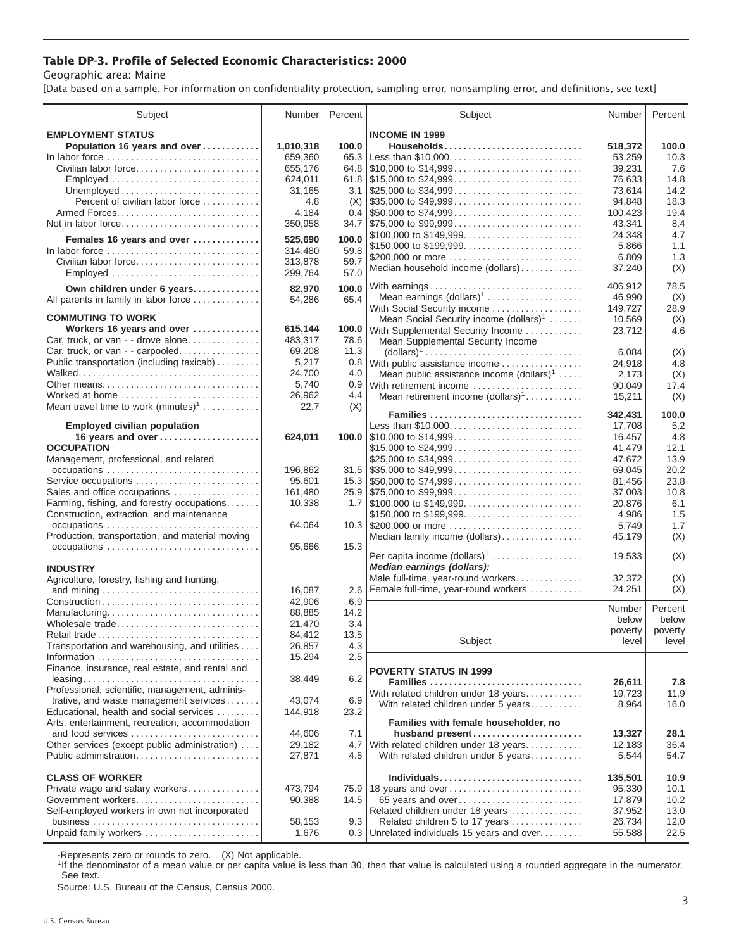## **Table DP-3. Profile of Selected Economic Characteristics: 2000**

Geographic area: Maine

[Data based on a sample. For information on confidentiality protection, sampling error, nonsampling error, and definitions, see text]

| Subject                                                                       | Number    | Percent | Subject                                                                                | Number           | Percent      |
|-------------------------------------------------------------------------------|-----------|---------|----------------------------------------------------------------------------------------|------------------|--------------|
| <b>EMPLOYMENT STATUS</b>                                                      |           |         | <b>INCOME IN 1999</b>                                                                  |                  |              |
| Population 16 years and over                                                  | 1,010,318 | 100.0   | Households                                                                             | 518,372          | 100.0        |
| In labor force                                                                | 659,360   | 65.3    | Less than \$10,000                                                                     | 53,259           | 10.3         |
| Civilian labor force                                                          | 655,176   |         |                                                                                        | 39,231           | 7.6          |
|                                                                               | 624,011   |         |                                                                                        | 76,633           | 14.8         |
|                                                                               | 31,165    | 3.1     | $\frac{1}{25,000}$ to \$34,999                                                         | 73,614           | 14.2         |
| Percent of civilian labor force                                               | 4.8       | (X)     | $35,000$ to \$49,999                                                                   | 94,848           | 18.3         |
|                                                                               | 4,184     |         | $0.4$ \\ \$50,000 to \$74,999                                                          | 100,423          | 19.4         |
| Not in labor force                                                            | 350,958   |         | 34.7 \$75,000 to \$99,999                                                              | 43,341           | 8.4          |
| Females 16 years and over                                                     | 525,690   | 100.0   | \$100,000 to \$149,999                                                                 | 24,348           | 4.7          |
| In labor force $\dots\dots\dots\dots\dots\dots\dots\dots\dots\dots\dots\dots$ | 314,480   | 59.8    | \$150,000 to \$199,999                                                                 | 5,866            | 1.1          |
| Civilian labor force                                                          | 313,878   | 59.7    | \$200,000 or more                                                                      | 6,809            | 1.3          |
|                                                                               | 299,764   | 57.0    | Median household income (dollars)                                                      | 37,240           | (X)          |
|                                                                               | 82,970    | 100.0   | With earnings                                                                          | 406,912          | 78.5         |
| Own children under 6 years                                                    |           | 65.4    | Mean earnings (dollars) <sup>1</sup>                                                   | 46,990           | (X)          |
| All parents in family in labor force                                          | 54,286    |         | With Social Security income                                                            | 149,727          | 28.9         |
| <b>COMMUTING TO WORK</b>                                                      |           |         | Mean Social Security income (dollars) <sup>1</sup>                                     | 10,569           | (X)          |
| Workers 16 years and over                                                     | 615,144   | 100.0   | With Supplemental Security Income                                                      | 23,712           | 4.6          |
| Car, truck, or van - - drove alone                                            | 483,317   | 78.6    | Mean Supplemental Security Income                                                      |                  |              |
| Car, truck, or van - - carpooled                                              | 69.208    | 11.3    | $\text{(dollars)}^1 \dots \dots \dots \dots \dots \dots \dots \dots \dots \dots \dots$ | 6,084            | (X)          |
| Public transportation (including taxicab)                                     | 5,217     | 0.8     | With public assistance income                                                          | 24,918           | 4.8          |
|                                                                               | 24,700    | 4.0     | Mean public assistance income $(dollars)1 \ldots$ .                                    | 2,173            | (X)          |
| Other means                                                                   | 5,740     | 0.9     | With retirement income                                                                 | 90,049           | 17.4         |
| Worked at home                                                                | 26.962    | 4.4     | Mean retirement income (dollars) <sup>1</sup>                                          | 15,211           | (X)          |
| Mean travel time to work $(minutes)^1$                                        | 22.7      | (X)     | Families                                                                               | 342,431          | 100.0        |
| <b>Employed civilian population</b>                                           |           |         | Less than \$10,000                                                                     | 17,708           | 5.2          |
| 16 years and over                                                             | 624,011   |         |                                                                                        | 16,457           | 4.8          |
| <b>OCCUPATION</b>                                                             |           |         | \$15,000 to \$24,999                                                                   | 41,479           | 12.1         |
| Management, professional, and related                                         |           |         | \$25,000 to \$34,999                                                                   | 47,672           | 13.9         |
| occupations                                                                   | 196,862   |         | $31.5$ \\$35,000 to \$49,999                                                           | 69,045           | 20.2         |
| Service occupations                                                           | 95,601    |         | $15.3$ \\$50,000 to \$74,999                                                           | 81,456           | 23.8         |
| Sales and office occupations                                                  | 161,480   |         |                                                                                        | 37,003           | 10.8         |
| Farming, fishing, and forestry occupations                                    | 10,338    | 1.7     |                                                                                        | 20,876           | 6.1          |
| Construction, extraction, and maintenance                                     |           |         | \$150,000 to \$199,999                                                                 | 4,986            | 1.5          |
| occupations                                                                   | 64,064    |         |                                                                                        | 5,749            | 1.7          |
| Production, transportation, and material moving                               |           |         | Median family income (dollars)                                                         | 45,179           | (X)          |
| occupations                                                                   | 95,666    | 15.3    |                                                                                        |                  |              |
|                                                                               |           |         | Per capita income $(dollars)1$                                                         | 19,533           | (X)          |
| <b>INDUSTRY</b>                                                               |           |         | Median earnings (dollars):<br>Male full-time, year-round workers                       | 32,372           |              |
| Agriculture, forestry, fishing and hunting,                                   | 16,087    | 2.6     | Female full-time, year-round workers                                                   | 24,251           | (X)<br>(X)   |
|                                                                               | 42,906    | 6.9     |                                                                                        |                  |              |
| Manufacturing                                                                 | 88,885    | 14.2    |                                                                                        | Number           | Percent      |
| Wholesale trade                                                               | 21,470    | 3.4     |                                                                                        | below            | below        |
| Retail trade                                                                  | 84,412    | 13.5    |                                                                                        | poverty          | poverty      |
| Transportation and warehousing, and utilities                                 | 26,857    | 4.3     | Subject                                                                                | level            | level        |
|                                                                               | 15,294    | 2.5     |                                                                                        |                  |              |
| Finance, insurance, real estate, and rental and                               |           |         | <b>POVERTY STATUS IN 1999</b>                                                          |                  |              |
|                                                                               | 38,449    | 6.2     | Families                                                                               | 26,611           | 7.8          |
| Professional, scientific, management, adminis-                                |           |         | With related children under 18 years                                                   | 19,723           | 11.9         |
| trative, and waste management services                                        | 43.074    | 6.9     | With related children under 5 years                                                    | 8,964            | 16.0         |
| Educational, health and social services                                       | 144,918   | 23.2    |                                                                                        |                  |              |
| Arts, entertainment, recreation, accommodation                                |           |         | Families with female householder, no                                                   |                  |              |
| and food services                                                             | 44,606    | 7.1     | husband present                                                                        | 13,327           | 28.1         |
| Other services (except public administration)                                 | 29,182    | 4.7     | With related children under 18 years                                                   | 12,183           | 36.4         |
| Public administration                                                         | 27,871    | 4.5     | With related children under 5 years                                                    | 5,544            | 54.7         |
|                                                                               |           |         |                                                                                        |                  |              |
| <b>CLASS OF WORKER</b>                                                        |           |         | Individuals                                                                            | 135,501          | 10.9         |
| Private wage and salary workers                                               | 473,794   |         | 75.9 18 years and over                                                                 | 95,330           | 10.1         |
| Government workers<br>Self-employed workers in own not incorporated           | 90,388    | 14.5    | 65 years and over<br>Related children under 18 years                                   | 17,879           | 10.2         |
|                                                                               | 58,153    | 9.3     | Related children 5 to 17 years                                                         | 37,952<br>26,734 | 13.0<br>12.0 |
| Unpaid family workers                                                         | 1,676     | 0.3     | Unrelated individuals 15 years and over                                                | 55,588           | 22.5         |
|                                                                               |           |         |                                                                                        |                  |              |

-Represents zero or rounds to zero. (X) Not applicable.

<sup>1</sup>If the denominator of a mean value or per capita value is less than 30, then that value is calculated using a rounded aggregate in the numerator. See text.

Source: U.S. Bureau of the Census, Census 2000.